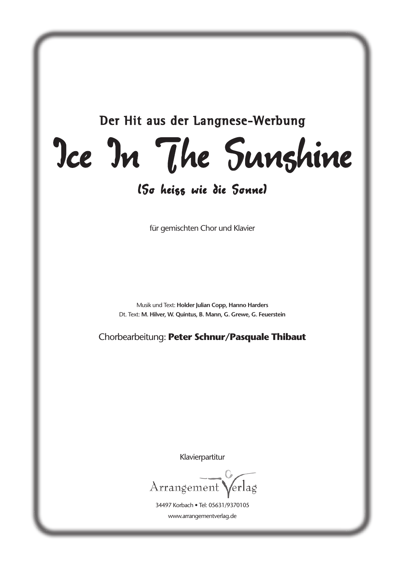## Der Hit aus der Langnese-Werbung

## Ice In The Sunshine

## (So heiss wie die Sonne)

für gemischten Chor und Klavier

Musik und Text: **Holder Julian Copp, Hanno Harders** Dt. Text: **M. Hilver, W. Quintus, B. Mann, G. Grewe, G. Feuerstein**

Chorbearbeitung: **Peter Schnur/Pasquale Thibaut**

Klavierpartitur

Arrangement Verlag

34497 Korbach • Tel: 05631/9370105 www.arrangementverlag.de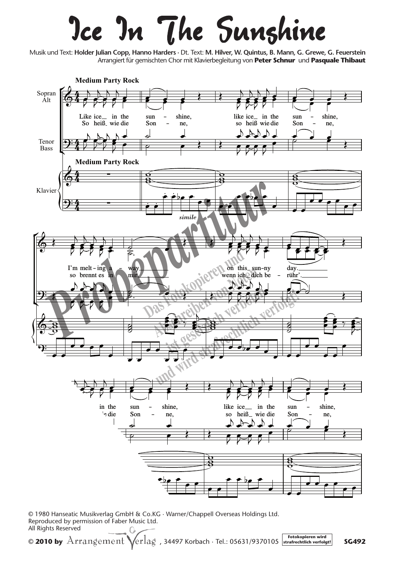## Ice In The Sunshine

Musik und Text: **Holder Julian Copp, Hanno Harders ·** Dt. Text: **M. Hilver, W. Quintus, B. Mann, G. Grewe, G. Feuerstein** Arrangiert für gemischten Chor mit Klavierbegleitung von **Peter Schnur** und **Pasquale Thibaut**



© 1980 Hanseatic Musikverlag GmbH & Co.KG · Warner/Chappell Overseas Holdings Ltd. Reproduced by permission of Faber Music Ltd.<br>All Rights Reserved

**Fotokopieren wird**  © 2010 by Arrangement Verlag, 34497 Korbach · Tel.: 05631/9370105 | strafrechtlich verfolgt! **SG492**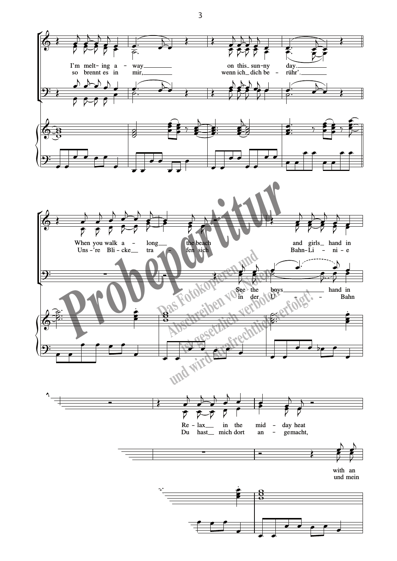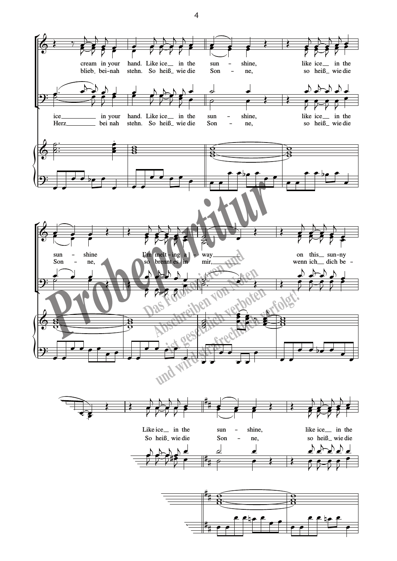



 $\overline{a}$ Like ice<sub>—</sub> in the sun shine, like ice<sub>min</sub> the  $\overline{a}$ Son ne,  $\frac{1}{\sqrt{2}}$  $\frac{1}{\sqrt{2}}$  $\frac{1}{2}$  $\sum_{i=1}^{n}$  $\sum_{i=1}^{n}$  $\frac{1}{2}$  $\overline{\blacktriangle}$ لح ار  $\overline{\phantom{a}}$  $\frac{1}{2}$  $\frac{1}{4}$  $\frac{\epsilon}{\epsilon}$  $\overline{a}$ ≹ ≹  $\frac{1}{4}$ 



 $\overline{\phantom{a}}$ 

  $\frac{\bullet}{\bullet}$